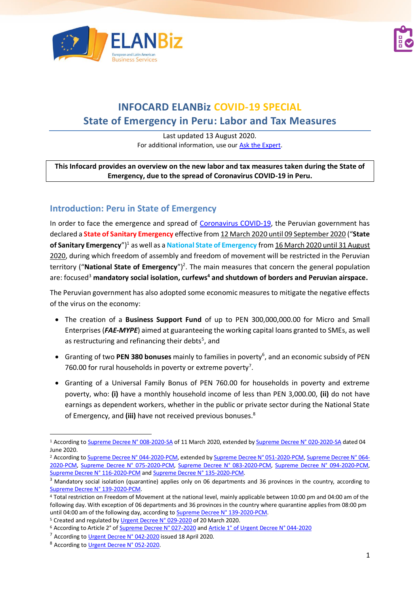



# **INFOCARD ELANBiz COVID-19 SPECIAL State of Emergency in Peru: Labor and Tax Measures**

Last updated 13 August 2020. For additional information, use our [Ask the Expert.](http://bit.ly/2fQNCnJ)

#### **This Infocard provides an overview on the new labor and tax measures taken during the State of Emergency, due to the spread of Coronavirus COVID-19 in Peru.**

## **Introduction: Peru in State of Emergency**

In order to face the emergence and spread of [Coronavirus COVID-19,](https://www.who.int/news-room/q-a-detail/q-a-coronaviruses) the Peruvian government has declared a **State of Sanitary Emergency** effective from 12 March 2020 until 09 September 2020 ("**State**  of Sanitary Emergency")<sup>1</sup> as well as a National State of Emergency from 16 March 2020 until 31 August 2020, during which freedom of assembly and freedom of movement will be restricted in the Peruvian territory ("National State of Emergency")<sup>2</sup>. The main measures that concern the general population are: focused<sup>3</sup> **mandatory social isolation, curfews<sup>4</sup> and shutdown of borders and Peruvian airspace.**

The Peruvian government has also adopted some economic measures to mitigate the negative effects of the virus on the economy:

- The creation of a **Business Support Fund** of up to PEN 300,000,000.00 for Micro and Small Enterprises (*FAE-MYPE*) aimed at guaranteeing the working capital loans granted to SMEs, as well as restructuring and refinancing their debts<sup>5</sup>, and
- **•** Granting of two PEN 380 bonuses mainly to families in poverty<sup>6</sup>, and an economic subsidy of PEN 760.00 for rural households in poverty or extreme poverty<sup>7</sup>.
- Granting of a Universal Family Bonus of PEN 760.00 for households in poverty and extreme poverty, who: **(i)** have a monthly household income of less than PEN 3,000.00, **(ii)** do not have earnings as dependent workers, whether in the public or private sector during the National State of Emergency, and **(iii)** have not received previous bonuses.<sup>8</sup>

<sup>&</sup>lt;sup>1</sup> According t[o Supreme Decree N° 008-2020-SA](https://cdn.www.gob.pe/uploads/document/file/565409/decreto-supremo-n-008-2020-sa-1863981-2.pdf) of 11 March 2020, extended b[y Supreme Decree N° 020-2020-SA](https://busquedas.elperuano.pe/normaslegales/decreto-supremo-que-prorroga-la-emergencia-sanitaria-declara-decreto-supremo-n-020-2020-sa-1867295-3/) dated 04 June 2020.

<sup>&</sup>lt;sup>2</sup> According t[o Supreme Decree N° 044-2020-PCM,](https://cdn.www.gob.pe/uploads/document/file/566448/DS044-PCM_1864948-2.pdf) extended b[y Supreme Decree N° 051-2020-PCM,](https://busquedas.elperuano.pe/normaslegales/prorroga-del-estado-de-emergencia-nacional-declarado-mediant-decreto-supremo-no-051-2020-pcm-1865180-2/) [Supreme Decree N° 064-](https://busquedas.elperuano.pe/normaslegales/decreto-supremo-que-prorroga-el-estado-de-emergencia-naciona-decreto-supremo-no-064-2020-pcm-1865482-3/) [2020-PCM,](https://busquedas.elperuano.pe/normaslegales/decreto-supremo-que-prorroga-el-estado-de-emergencia-naciona-decreto-supremo-no-064-2020-pcm-1865482-3/) [Supreme Decree N° 075-2020-PCM,](https://busquedas.elperuano.pe/normaslegales/decreto-supremo-que-prorroga-el-estado-de-emergencia-naciona-decreto-supremo-n-075-2020-pcm-1865780-1/) [Supreme Decree N° 083-2020-PCM,](https://busquedas.elperuano.pe/normaslegales/decreto-supremo-que-prorroga-el-estado-de-emergencia-naciona-decreto-supremo-n-083-2020-pcm-1866214-1/) [Supreme Decree N° 094-2020-PCM,](https://busquedas.elperuano.pe/normaslegales/decreto-supremo-que-establece-las-medidas-que-debe-observar-decreto-supremo-n-094-2020-pcm-1866708-1/) [Supreme Decree N° 116-2020-PCM](https://busquedas.elperuano.pe/normaslegales/decreto-supremo-que-establece-las-medidas-que-debe-observar-decreto-supremo-no-116-2020-pcm-1869114-1/) an[d Supreme Decree N° 135-2020-PCM.](https://busquedas.elperuano.pe/normaslegales/decreto-supremo-que-prorroga-el-estado-de-emergencia-naciona-decreto-supremo-n-135-2020-pcm-1874483-1/)

<sup>&</sup>lt;sup>3</sup> Mandatory social isolation (quarantine) applies only on 06 departments and 36 provinces in the country, according to [Supreme Decree N° 139-2020-PCM.](https://busquedas.elperuano.pe/normaslegales/decreto-supremo-que-modifica-el-decreto-supremo-n-116-2020-decreto-supremo-n-139-2020-pcm-1877093-1/)

<sup>4</sup> Total restriction on Freedom of Movement at the national level, mainly applicable between 10:00 pm and 04:00 am of the following day. With exception of 06 departments and 36 provinces in the country where quarantine applies from 08:00 pm until 04:00 am of the following day, according t[o Supreme Decree N° 139-2020-PCM.](https://busquedas.elperuano.pe/normaslegales/decreto-supremo-que-modifica-el-decreto-supremo-n-116-2020-decreto-supremo-n-139-2020-pcm-1877093-1/)

<sup>&</sup>lt;sup>5</sup> Created and regulated by [Urgent Decree N° 029-2020](https://cdn.www.gob.pe/uploads/document/file/569095/DU029_2020.pdf) of 20 March 2020.

<sup>&</sup>lt;sup>6</sup> According to Article 2° o[f Supreme Decree N° 027-2020](https://cdn.www.gob.pe/uploads/document/file/566916/DU027_2020.pdf) an[d Article 1° of Urgent Decree N° 044-2020](https://busquedas.elperuano.pe/normaslegales/decreto-de-urgencia-que-establece-la-ampliacion-de-las-medid-decreto-de-urgencia-n-044-2020-1865659-2/)

<sup>7</sup> According t[o Urgent Decree N° 042-2020](https://busquedas.elperuano.pe/normaslegales/decreto-de-urgencia-que-establece-medidas-extraordinarias-de-decreto-de-urgencia-n-042-2020-1865631-2/) issued 18 April 2020.

<sup>8</sup> According t[o Urgent Decree N° 052-2020.](https://busquedas.elperuano.pe/normaslegales/decreto-de-urgencia-que-establece-medidas-extraordinarias-pa-decreto-de-urgencia-n-052-2020-1866033-1/)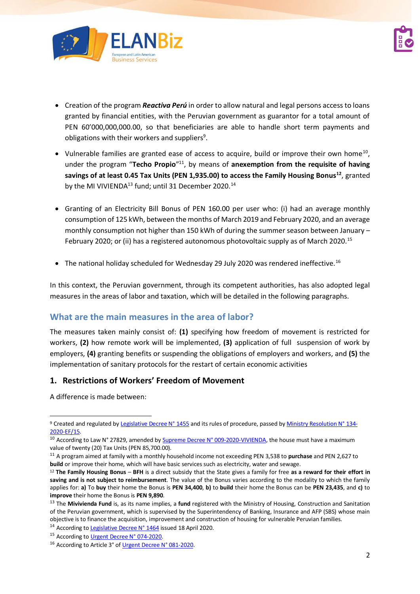

- Creation of the program *Reactiva Perú* in order to allow natural and legal persons access to loans granted by financial entities, with the Peruvian government as guarantor for a total amount of PEN 60'000,000,000.00, so that beneficiaries are able to handle short term payments and obligations with their workers and suppliers<sup>9</sup>.
- Vulnerable families are granted ease of access to acquire, build or improve their own home<sup>10</sup>, under the program "Techo Propio"<sup>11</sup>, by means of anexemption from the requisite of having **savings of at least 0.45 Tax Units (PEN 1,935.00) to access the Family Housing Bonus<sup>12</sup>**, granted by the MI VIVIENDA $^{13}$  fund; until 31 December 2020.<sup>14</sup>
- Granting of an Electricity Bill Bonus of PEN 160.00 per user who: (i) had an average monthly consumption of 125 kWh, between the months of March 2019 and February 2020, and an average monthly consumption not higher than 150 kWh of during the summer season between January – February 2020; or (ii) has a registered autonomous photovoltaic supply as of March 2020.<sup>15</sup>
- The national holiday scheduled for Wednesday 29 July 2020 was rendered ineffective.<sup>16</sup>

In this context, the Peruvian government, through its competent authorities, has also adopted legal measures in the areas of labor and taxation, which will be detailed in the following paragraphs.

## **What are the main measures in the area of labor?**

The measures taken mainly consist of: **(1)** specifying how freedom of movement is restricted for workers, **(2)** how remote work will be implemented, **(3)** application of full suspension of work by employers, **(4)** granting benefits or suspending the obligations of employers and workers, and **(5)** the implementation of sanitary protocols for the restart of certain economic activities

### **1. Restrictions of Workers' Freedom of Movement**

A difference is made between:

<sup>9</sup> Created and regulated by [Legislative Decree N° 1455](https://busquedas.elperuano.pe/download/url/decreto-legislativo-que-crea-el-programa-reactiva-peru-par-decreto-legislativo-no-1455-1865394-1) and its rules of procedure, passed b[y Ministry Resolution N° 134-](https://busquedas.elperuano.pe/download/url/aprueban-el-reglamento-operativo-del-programa-reactiva-peru-resolucion-ministerial-no-134-2020-ef15-1865501-1) [2020-EF/15.](https://busquedas.elperuano.pe/download/url/aprueban-el-reglamento-operativo-del-programa-reactiva-peru-resolucion-ministerial-no-134-2020-ef15-1865501-1)

<sup>10</sup> According to Law N° 27829, amended b[y Supreme Decree N° 009-2020-VIVIENDA,](https://busquedas.elperuano.pe/normaslegales/decreto-supremo-que-actualiza-los-valores-maximos-de-la-vivi-decreto-supremo-n-009-2020-vivienda-1869622-3/) the house must have a maximum value of twenty (20) Tax Units (PEN 85,700.00).

<sup>11</sup> A program aimed at family with a monthly household income not exceeding PEN 3,538 to **purchase** and PEN 2,627 to **build** or improve their home, which will have basic services such as electricity, water and sewage.

<sup>12</sup> **The Family Housing Bonus** – **BFH** is a direct subsidy that the State gives a family for free **as a reward for their effort in saving and is not subject to reimbursement**. The value of the Bonus varies according to the modality to which the family applies for: **a)** To **buy** their home the Bonus is **PEN 34,400**, **b)** to **build** their home the Bonus can be **PEN 23,435**, and **c)** to **improve** their home the Bonus is **PEN 9,890**.

<sup>13</sup> The **Mivivienda Fund** is, as its name implies, a **fund** registered with the Ministry of Housing, Construction and Sanitation of the Peruvian government, which is supervised by the Superintendency of Banking, Insurance and AFP (SBS) whose main objective is to finance the acquisition, improvement and construction of housing for vulnerable Peruvian families.

<sup>&</sup>lt;sup>14</sup> According to **Legislative Decree N° 1464** issued 18 April 2020.

<sup>&</sup>lt;sup>15</sup> According t[o Urgent Decree N° 074-2020.](https://busquedas.elperuano.pe/normaslegales/decreto-de-urgencia-que-crea-el-bono-electricidad-en-favor-d-decreto-de-urgencia-n-074-2020-1869131-1/)

<sup>16</sup> According to Article 3° o[f Urgent Decree N° 081-2020.](https://busquedas.elperuano.pe/normaslegales/decreto-de-urgencia-para-dinamizar-las-inversiones-y-los-ser-decreto-de-urgencia-n-081-2020-1869821-1/)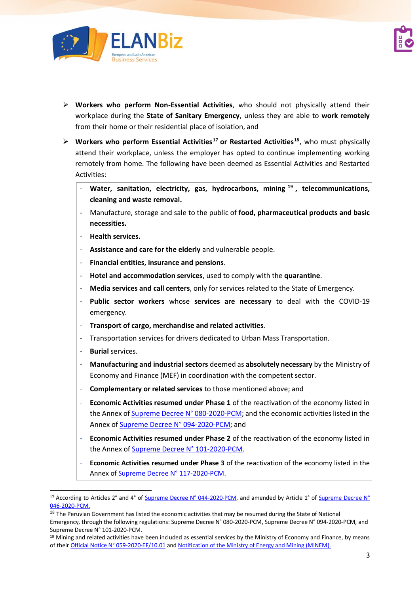

- ➢ **Workers who perform Non-Essential Activities**, who should not physically attend their workplace during the **State of Sanitary Emergency**, unless they are able to **work remotely** from their home or their residential place of isolation, and
- ➢ **Workers who perform Essential Activities <sup>17</sup> or Restarted Activities<sup>18</sup>** , who must physically attend their workplace, unless the employer has opted to continue implementing working remotely from home. The following have been deemed as Essential Activities and Restarted Activities:
	- **Water, sanitation, electricity, gas, hydrocarbons, mining <sup>19</sup> , telecommunications, cleaning and waste removal.**
	- Manufacture, storage and sale to the public of **food, pharmaceutical products and basic necessities.**
	- **Health services.**
	- **Assistance and care for the elderly** and vulnerable people.
	- **Financial entities, insurance and pensions**.
	- **Hotel and accommodation services**, used to comply with the **quarantine**.
	- **Media services and call centers**, only for services related to the State of Emergency.
	- **Public sector workers** whose **services are necessary** to deal with the COVID-19 emergency.
	- **Transport of cargo, merchandise and related activities**.
	- Transportation services for drivers dedicated to Urban Mass Transportation.
	- **Burial** services.
	- **Manufacturing and industrial sectors** deemed as **absolutely necessary** by the Ministry of Economy and Finance (MEF) in coordination with the competent sector.
	- **Complementary or related services** to those mentioned above; and
	- **Economic Activities resumed under Phase 1** of the reactivation of the economy listed in the Annex of [Supreme Decree N° 080-2020-PCM;](https://busquedas.elperuano.pe/normaslegales/decreto-supremo-que-aprueba-la-reanudacion-de-actividades-ec-decreto-supremo-n-080-2020-pcm-1865987-1/) and the economic activities listed in the Annex of [Supreme Decree N° 094-2020-PCM;](https://busquedas.elperuano.pe/normaslegales/decreto-supremo-que-establece-las-medidas-que-debe-observar-decreto-supremo-n-094-2020-pcm-1866708-1/) and
	- **Economic Activities resumed under Phase 2** of the reactivation of the economy listed in the Annex of [Supreme Decree N° 101-2020-PCM.](https://busquedas.elperuano.pe/normaslegales/decreto-supremo-que-aprueba-la-fase-2-de-la-reanudacion-de-a-decreto-supremo-no-101-2020-pcm-1867300-2/)
	- **Economic Activities resumed under Phase 3** of the reactivation of the economy listed in the Annex of [Supreme Decree N° 117-2020-PCM.](https://busquedas.elperuano.pe/normaslegales/decreto-supremo-que-aprueba-la-fase-3-de-la-reanudacion-de-a-decreto-supremo-n-117-2020-pcm-1869317-1/)

<sup>&</sup>lt;sup>17</sup> According to Articles 2° and 4° of [Supreme Decree N° 044-2020-PCM,](https://cdn.www.gob.pe/uploads/document/file/566448/DS044-PCM_1864948-2.pdf) and amended by Article 1° o[f Supreme Decree N°](https://cdn.www.gob.pe/uploads/document/file/568925/DS_046-2020-PCM.pdf) [046-2020-PCM.](https://cdn.www.gob.pe/uploads/document/file/568925/DS_046-2020-PCM.pdf)

<sup>&</sup>lt;sup>18</sup> The Peruvian Government has listed the economic activities that may be resumed during the State of National Emergency, through the following regulations: Supreme Decree N° 080-2020-PCM, Supreme Decree N° 094-2020-PCM, and Supreme Decree N° 101-2020-PCM.

<sup>&</sup>lt;sup>19</sup> Mining and related activities have been included as essential services by the Ministry of Economy and Finance, by means of their Official Notice [N° 059-2020-EF/10.01](http://www.minem.gob.pe/minem/archivos/Comunicado-MINEM.pdf) and [Notification of the Ministry of Energy and Mining](https://www.gob.pe/institucion/minem/noticias/109346-comunicado) (MINEM).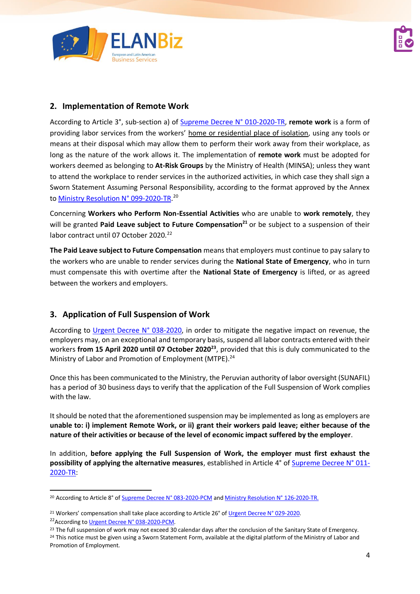

## **2. Implementation of Remote Work**

According to Article 3°, sub-section a) of [Supreme Decree](https://cdn.www.gob.pe/uploads/document/file/569726/1865130-2.pdf) N° 010-2020-TR, **remote work** is a form of providing labor services from the workers' home or residential place of isolation, using any tools or means at their disposal which may allow them to perform their work away from their workplace, as long as the nature of the work allows it. The implementation of **remote work** must be adopted for workers deemed as belonging to **At-Risk Groups** by the Ministry of Health (MINSA); unless they want to attend the workplace to render services in the authorized activities, in which case they shall sign a Sworn Statement Assuming Personal Responsibility, according to the format approved by the Annex to <u>Ministry Resolution N° 099-2020-TR.</u><sup>20</sup>

Concerning **Workers who Perform Non-Essential Activities** who are unable to **work remotely**, they will be granted **Paid Leave subject to Future Compensation<sup>21</sup>** or be subject to a suspension of their labor contract until 07 October 2020.<sup>22</sup>

**The Paid Leave subject to Future Compensation** means that employers must continue to pay salary to the workers who are unable to render services during the **National State of Emergency**, who in turn must compensate this with overtime after the **National State of Emergency** is lifted, or as agreed between the workers and employers.

## **3. Application of Full Suspension of Work**

According to [Urgent Decree](https://cdn.www.gob.pe/uploads/document/file/582540/Decreto-de-urgencia-n-038-2020-1865516-3.pdf) N° 038-2020, in order to mitigate the negative impact on revenue, the employers may, on an exceptional and temporary basis, suspend all labor contracts entered with their workers **from 15 April 2020 until 07 October 2020<sup>23</sup>** , provided that this is duly communicated to the Ministry of Labor and Promotion of Employment (MTPE).<sup>24</sup>

Once this has been communicated to the Ministry, the Peruvian authority of labor oversight (SUNAFIL) has a period of 30 business days to verify that the application of the Full Suspension of Work complies with the law.

It should be noted that the aforementioned suspension may be implemented as long as employers are **unable to: i) implement Remote Work, or ii) grant their workers paid leave; either because of the nature of their activities or because of the level of economic impact suffered by the employer**.

In addition, **before applying the Full Suspension of Work, the employer must first exhaust the possibility of applying the alternative measures**, established in Article 4° o[f Supreme Decree N° 011-](https://busquedas.elperuano.pe/normaslegales/decreto-supremo-que-establece-normas-complementarias-para-la-decreto-supremo-n-011-2020-tr-1865658-3/) [2020-TR:](https://busquedas.elperuano.pe/normaslegales/decreto-supremo-que-establece-normas-complementarias-para-la-decreto-supremo-n-011-2020-tr-1865658-3/)

<sup>&</sup>lt;sup>20</sup> According to Article 8° o[f Supreme Decree N° 083-2020-PCM](https://busquedas.elperuano.pe/normaslegales/decreto-supremo-que-prorroga-el-estado-de-emergencia-naciona-decreto-supremo-n-083-2020-pcm-1866214-1/) an[d Ministry Resolution](https://cdn.www.gob.pe/uploads/document/file/1009319/RM_126-2020-TR.pdf) N° 126-2020-TR.

<sup>&</sup>lt;sup>21</sup> Workers' compensation shall take place according to Article 26° o[f Urgent Decree](https://cdn.www.gob.pe/uploads/document/file/569095/DU029_2020.pdf) N° 029-2020.

<sup>&</sup>lt;sup>22</sup> According t[o Urgent Decree N° 038-2020-PCM.](https://cdn.www.gob.pe/uploads/document/file/582540/Decreto-de-urgencia-n-038-2020-1865516-3.pdf)

<sup>&</sup>lt;sup>23</sup> The full suspension of work may not exceed 30 calendar days after the conclusion of the Sanitary State of Emergency. <sup>24</sup> This notice must be given using a Sworn Statement Form, available at the digital platform of the Ministry of Labor and Promotion of Employment.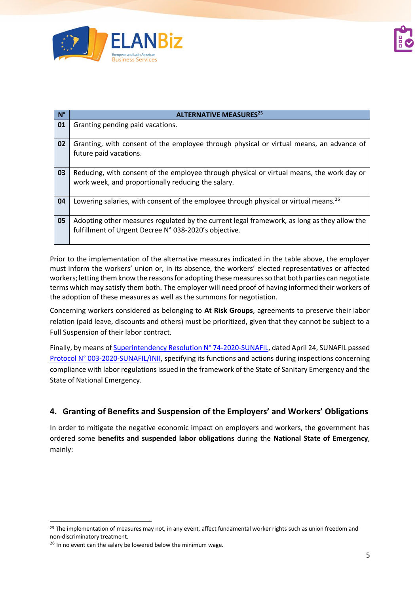

| $N^{\circ}$ | <b>ALTERNATIVE MEASURES<sup>25</sup></b>                                                                                                             |
|-------------|------------------------------------------------------------------------------------------------------------------------------------------------------|
| 01          | Granting pending paid vacations.                                                                                                                     |
| 02          | Granting, with consent of the employee through physical or virtual means, an advance of<br>future paid vacations.                                    |
| 03          | Reducing, with consent of the employee through physical or virtual means, the work day or<br>work week, and proportionally reducing the salary.      |
| 04          | Lowering salaries, with consent of the employee through physical or virtual means. <sup>26</sup>                                                     |
| 05          | Adopting other measures regulated by the current legal framework, as long as they allow the<br>fulfillment of Urgent Decree N° 038-2020's objective. |

Prior to the implementation of the alternative measures indicated in the table above, the employer must inform the workers' union or, in its absence, the workers' elected representatives or affected workers; letting them know the reasons for adopting these measures so that both parties can negotiate terms which may satisfy them both. The employer will need proof of having informed their workers of the adoption of these measures as well as the summons for negotiation.

Concerning workers considered as belonging to **At Risk Groups**, agreements to preserve their labor relation (paid leave, discounts and others) must be prioritized, given that they cannot be subject to a Full Suspension of their labor contract.

Finally, by means of [Superintendency Resolution N° 74-2020-SUNAFIL,](https://busquedas.elperuano.pe/download/url/aprueban-el-protocolo-sobre-el-ejercicio-de-la-funcion-insp-resolucion-n-74-2020-sunafil-1865118-1) dated April 24, SUNAFIL passed [Protocol N° 003-2020-SUNAFIL/INII,](https://drive.google.com/file/d/12tj8UT18i7IVtfUG0hOHPSXVlpi4WcRV/view) specifying its functions and actions during inspections concerning compliance with labor regulations issued in the framework of the State of Sanitary Emergency and the State of National Emergency.

## **4. Granting of Benefits and Suspension of the Employers' and Workers' Obligations**

In order to mitigate the negative economic impact on employers and workers, the government has ordered some **benefits and suspended labor obligations** during the **National State of Emergency**, mainly:

 $25$  The implementation of measures may not, in any event, affect fundamental worker rights such as union freedom and non-discriminatory treatment.

<sup>&</sup>lt;sup>26</sup> In no event can the salary be lowered below the minimum wage.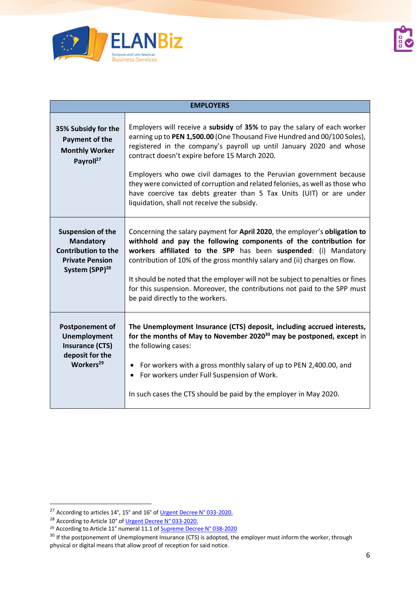

|                                                                                                                                    | <b>EMPLOYERS</b>                                                                                                                                                                                                                                                                                                                                                                                                                                                                                                                                         |
|------------------------------------------------------------------------------------------------------------------------------------|----------------------------------------------------------------------------------------------------------------------------------------------------------------------------------------------------------------------------------------------------------------------------------------------------------------------------------------------------------------------------------------------------------------------------------------------------------------------------------------------------------------------------------------------------------|
| 35% Subsidy for the<br>Payment of the<br><b>Monthly Worker</b><br>Payroll <sup>27</sup>                                            | Employers will receive a subsidy of 35% to pay the salary of each worker<br>earning up to PEN 1,500.00 (One Thousand Five Hundred and 00/100 Soles),<br>registered in the company's payroll up until January 2020 and whose<br>contract doesn't expire before 15 March 2020.<br>Employers who owe civil damages to the Peruvian government because<br>they were convicted of corruption and related felonies, as well as those who<br>have coercive tax debts greater than 5 Tax Units (UIT) or are under<br>liquidation, shall not receive the subsidy. |
| <b>Suspension of the</b><br><b>Mandatory</b><br><b>Contribution to the</b><br><b>Private Pension</b><br>System (SPP) <sup>28</sup> | Concerning the salary payment for April 2020, the employer's obligation to<br>withhold and pay the following components of the contribution for<br>workers affiliated to the SPP has been suspended: (i) Mandatory<br>contribution of 10% of the gross monthly salary and (ii) charges on flow.<br>It should be noted that the employer will not be subject to penalties or fines<br>for this suspension. Moreover, the contributions not paid to the SPP must<br>be paid directly to the workers.                                                       |
| <b>Postponement of</b><br><b>Unemployment</b><br><b>Insurance (CTS)</b><br>deposit for the<br>Workers <sup>29</sup>                | The Unemployment Insurance (CTS) deposit, including accrued interests,<br>for the months of May to November 2020 <sup>30</sup> may be postponed, except in<br>the following cases:<br>• For workers with a gross monthly salary of up to PEN 2,400.00, and<br>For workers under Full Suspension of Work.<br>In such cases the CTS should be paid by the employer in May 2020.                                                                                                                                                                            |

<sup>&</sup>lt;sup>27</sup> According to articles 14°, 15° and 16° o[f Urgent Decree](https://cdn.www.gob.pe/uploads/document/file/572106/DU033_2020.pdf) N° 033-2020.

<sup>&</sup>lt;sup>28</sup> According to Article 10° o[f Urgent Decree](https://cdn.www.gob.pe/uploads/document/file/572106/DU033_2020.pdf) N° 033-2020.

<sup>&</sup>lt;sup>29</sup> According to Article 11° numeral 11.1 of **Supreme Decree N° 038-2020** 

<sup>&</sup>lt;sup>30</sup> If the postponement of Unemployment Insurance (CTS) is adopted, the employer must inform the worker, through physical or digital means that allow proof of reception for said notice.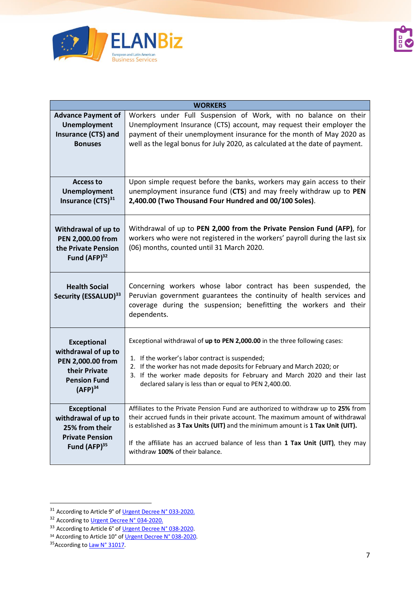

|                                                                                                                               | <b>WORKERS</b>                                                                                                                                                                                                                                                                                                                                                              |
|-------------------------------------------------------------------------------------------------------------------------------|-----------------------------------------------------------------------------------------------------------------------------------------------------------------------------------------------------------------------------------------------------------------------------------------------------------------------------------------------------------------------------|
| <b>Advance Payment of</b><br>Unemployment<br>Insurance (CTS) and<br><b>Bonuses</b>                                            | Workers under Full Suspension of Work, with no balance on their<br>Unemployment Insurance (CTS) account, may request their employer the<br>payment of their unemployment insurance for the month of May 2020 as<br>well as the legal bonus for July 2020, as calculated at the date of payment.                                                                             |
| <b>Access to</b><br>Unemployment<br>Insurance (CTS) <sup>31</sup>                                                             | Upon simple request before the banks, workers may gain access to their<br>unemployment insurance fund (CTS) and may freely withdraw up to PEN<br>2,400.00 (Two Thousand Four Hundred and 00/100 Soles).                                                                                                                                                                     |
| Withdrawal of up to<br>PEN 2,000.00 from<br>the Private Pension<br>Fund $(AFP)^{32}$                                          | Withdrawal of up to PEN 2,000 from the Private Pension Fund (AFP), for<br>workers who were not registered in the workers' payroll during the last six<br>(06) months, counted until 31 March 2020.                                                                                                                                                                          |
| <b>Health Social</b><br>Security (ESSALUD) <sup>33</sup>                                                                      | Concerning workers whose labor contract has been suspended, the<br>Peruvian government guarantees the continuity of health services and<br>coverage during the suspension; benefitting the workers and their<br>dependents.                                                                                                                                                 |
| <b>Exceptional</b><br>withdrawal of up to<br>PEN 2,000.00 from<br>their Private<br><b>Pension Fund</b><br>(AFP) <sup>34</sup> | Exceptional withdrawal of up to PEN 2,000.00 in the three following cases:<br>1. If the worker's labor contract is suspended;<br>2. If the worker has not made deposits for February and March 2020; or<br>3. If the worker made deposits for February and March 2020 and their last<br>declared salary is less than or equal to PEN 2,400.00.                              |
| <b>Exceptional</b><br>withdrawal of up to<br>25% from their<br><b>Private Pension</b><br>Fund (AFP) <sup>35</sup>             | Affiliates to the Private Pension Fund are authorized to withdraw up to 25% from<br>their accrued funds in their private account. The maximum amount of withdrawal<br>is established as 3 Tax Units (UIT) and the minimum amount is 1 Tax Unit (UIT).<br>If the affiliate has an accrued balance of less than 1 Tax Unit (UIT), they may<br>withdraw 100% of their balance. |

<sup>&</sup>lt;sup>31</sup> According to Article 9° o[f Urgent Decree](https://cdn.www.gob.pe/uploads/document/file/572106/DU033_2020.pdf) N° 033-2020.

<sup>&</sup>lt;sup>32</sup> According t[o Urgent Decree N° 034-2020.](file:///C:/Users/USUARIO/Downloads/1865286-1.pdf)

<sup>&</sup>lt;sup>33</sup> According to Article 6° o[f Urgent Decree](https://cdn.www.gob.pe/uploads/document/file/582540/Decreto-de-urgencia-n-038-2020-1865516-3.pdf) N° 038-2020.

<sup>&</sup>lt;sup>34</sup> According to Article 10° o[f Urgent Decree](https://cdn.www.gob.pe/uploads/document/file/582540/Decreto-de-urgencia-n-038-2020-1865516-3.pdf) N° 038-2020.

<sup>35</sup> According t[o Law N° 31017.](https://busquedas.elperuano.pe/normaslegales/ley-que-establece-medidas-para-aliviar-la-economia-familiar-ley-n-31017-1865958-1/)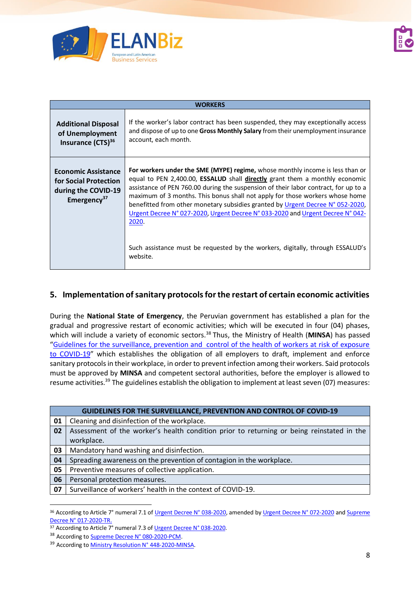

|                                                                                                       | <b>WORKERS</b>                                                                                                                                                                                                                                                                                                                                                                                                                                                                                                                 |
|-------------------------------------------------------------------------------------------------------|--------------------------------------------------------------------------------------------------------------------------------------------------------------------------------------------------------------------------------------------------------------------------------------------------------------------------------------------------------------------------------------------------------------------------------------------------------------------------------------------------------------------------------|
| <b>Additional Disposal</b><br>of Unemployment<br>Insurance (CTS) <sup>36</sup>                        | If the worker's labor contract has been suspended, they may exceptionally access<br>and dispose of up to one Gross Monthly Salary from their unemployment insurance<br>account, each month.                                                                                                                                                                                                                                                                                                                                    |
| <b>Economic Assistance</b><br>for Social Protection<br>during the COVID-19<br>Emergency <sup>37</sup> | For workers under the SME (MYPE) regime, whose monthly income is less than or<br>equal to PEN 2,400.00, <b>ESSALUD</b> shall <b>directly</b> grant them a monthly economic<br>assistance of PEN 760.00 during the suspension of their labor contract, for up to a<br>maximum of 3 months. This bonus shall not apply for those workers whose home<br>benefitted from other monetary subsidies granted by Urgent Decree N° 052-2020,<br>Urgent Decree N° 027-2020, Urgent Decree N° 033-2020 and Urgent Decree N° 042-<br>2020. |
|                                                                                                       | Such assistance must be requested by the workers, digitally, through ESSALUD's<br>website.                                                                                                                                                                                                                                                                                                                                                                                                                                     |

## **5. Implementation of sanitary protocols for the restart of certain economic activities**

During the **National State of Emergency**, the Peruvian government has established a plan for the gradual and progressive restart of economic activities; which will be executed in four (04) phases, which will include a variety of economic sectors.<sup>38</sup> Thus, the Ministry of Health (MINSA) has passed "[Guidelines for the surveillance, prevention and control of the health of workers at risk of exposure](https://cdn.www.gob.pe/uploads/document/file/903763/RM_448-2020-MINSA.pdf)  [to COVID-19](https://cdn.www.gob.pe/uploads/document/file/903763/RM_448-2020-MINSA.pdf)" which establishes the obligation of all employers to draft, implement and enforce sanitary protocols in their workplace, in order to prevent infection among their workers. Said protocols must be approved by **MINSA** and competent sectoral authorities, before the employer is allowed to resume activities.<sup>39</sup> The guidelines establish the obligation to implement at least seven (07) measures:

|    | <b>GUIDELINES FOR THE SURVEILLANCE, PREVENTION AND CONTROL OF COVID-19</b>                |
|----|-------------------------------------------------------------------------------------------|
| 01 | Cleaning and disinfection of the workplace.                                               |
| 02 | Assessment of the worker's health condition prior to returning or being reinstated in the |
|    | workplace.                                                                                |
| 03 | Mandatory hand washing and disinfection.                                                  |
| 04 | Spreading awareness on the prevention of contagion in the workplace.                      |
| 05 | Preventive measures of collective application.                                            |
| 06 | Personal protection measures.                                                             |
| 07 | Surveillance of workers' health in the context of COVID-19.                               |

<sup>36</sup> According to Article 7° numeral 7.1 o[f Urgent Decree N° 038-2020,](https://cdn.www.gob.pe/uploads/document/file/582540/Decreto-de-urgencia-n-038-2020-1865516-3.pdf) amended b[y Urgent Decree](https://busquedas.elperuano.pe/normaslegales/decreto-de-urgencia-que-modifica-el-decreto-de-urgencia-no-0-decreto-de-urgencia-n-072-2020-1868756-1/) N° 072-2020 an[d Supreme](https://busquedas.elperuano.pe/normaslegales/decreto-supremo-que-modifica-los-articulos-7-16-y-17-del-de-decreto-supremo-n-017-2020-tr-1870899-2/) [Decree N° 017-2020-TR.](https://busquedas.elperuano.pe/normaslegales/decreto-supremo-que-modifica-los-articulos-7-16-y-17-del-de-decreto-supremo-n-017-2020-tr-1870899-2/)

<sup>37</sup> According to Article 7° numeral 7.3 of [Urgent Decree N° 038-2020.](https://cdn.www.gob.pe/uploads/document/file/582540/Decreto-de-urgencia-n-038-2020-1865516-3.pdf)

<sup>38</sup> According to Supreme Decree [N° 080-2020-PCM.](https://busquedas.elperuano.pe/normaslegales/decreto-supremo-que-aprueba-la-reanudacion-de-actividades-ec-decreto-supremo-n-080-2020-pcm-1865987-1/)

<sup>39</sup> According t[o Ministry Resolution N° 448-2020-MINSA.](https://busquedas.elperuano.pe/normaslegales/aprueban-documento-tecnico-lineamientos-para-la-vigilanci-resolucion-ministerial-n-448-2020-minsa-1869304-2/)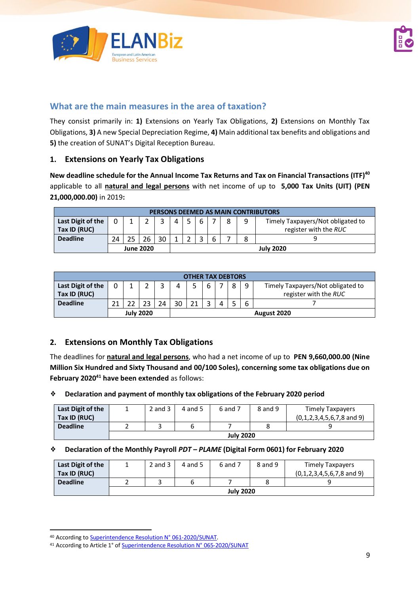



## **What are the main measures in the area of taxation?**

They consist primarily in: **1)** Extensions on Yearly Tax Obligations, **2)** Extensions on Monthly Tax Obligations, **3)** A new Special Depreciation Regime, **4)** Main additional tax benefits and obligations and **5)** the creation of SUNAT's Digital Reception Bureau.

#### **1. Extensions on Yearly Tax Obligations**

**New deadline schedule for the Annual Income Tax Returns and Tax on Financial Transactions (ITF)<sup>40</sup>** applicable to all **natural and legal persons** with net income of up to **5,000 Tax Units (UIT) (PEN 21,000,000.00)** in 2019**:** 

|                   | PERSONS DEEMED AS MAIN CONTRIBUTORS |                                             |                  |    |                      |                  |  |   |  |  |                       |  |  |
|-------------------|-------------------------------------|---------------------------------------------|------------------|----|----------------------|------------------|--|---|--|--|-----------------------|--|--|
| Last Digit of the | $\Omega$                            | Timely Taxpayers/Not obligated to<br>6<br>4 |                  |    |                      |                  |  |   |  |  |                       |  |  |
| Tax ID (RUC)      |                                     |                                             |                  |    |                      |                  |  |   |  |  | register with the RUC |  |  |
| <b>Deadline</b>   | 24                                  |                                             | 26               | 30 | $\blacktriangleleft$ |                  |  | h |  |  |                       |  |  |
|                   |                                     |                                             | <b>June 2020</b> |    |                      | <b>July 2020</b> |  |   |  |  |                       |  |  |

|                                                                      | <b>OTHER TAX DEBTORS</b> |  |                  |    |    |             |  |  |                                   |  |  |  |
|----------------------------------------------------------------------|--------------------------|--|------------------|----|----|-------------|--|--|-----------------------------------|--|--|--|
| Last Digit of the<br>8<br>6<br>Tax ID (RUC)<br>register with the RUC |                          |  |                  |    |    |             |  |  | Timely Taxpayers/Not obligated to |  |  |  |
| <b>Deadline</b>                                                      | ว1                       |  | 23               | 24 | 30 | 21          |  |  |                                   |  |  |  |
|                                                                      |                          |  | <b>July 2020</b> |    |    | August 2020 |  |  |                                   |  |  |  |

### **2. Extensions on Monthly Tax Obligations**

The deadlines for **natural and legal persons**, who had a net income of up to **PEN 9,660,000.00 (Nine Million Six Hundred and Sixty Thousand and 00/100 Soles), concerning some tax obligations due on February 2020<sup>41</sup> have been extended** as follows:

#### ❖ **Declaration and payment of monthly tax obligations of the February 2020 period**

| Last Digit of the |                  | $2$ and $3$ | 4 and 5 | 6 and 7 | 8 and 9 | <b>Timely Taxpayers</b>              |  |  |  |  |
|-------------------|------------------|-------------|---------|---------|---------|--------------------------------------|--|--|--|--|
| Tax ID (RUC)      |                  |             |         |         |         | $(0,1,2,3,4,5,6,7,8 \text{ and } 9)$ |  |  |  |  |
| <b>Deadline</b>   |                  |             |         |         |         |                                      |  |  |  |  |
|                   | <b>July 2020</b> |             |         |         |         |                                      |  |  |  |  |

#### ❖ **Declaration of the Monthly Payroll** *PDT – PLAME* **(Digital Form 0601) for February 2020**

| Last Digit of the |                  | $2$ and $3$ | 4 and 5 | 6 and 7 | 8 and 9 | <b>Timely Taxpayers</b>              |  |  |  |  |  |
|-------------------|------------------|-------------|---------|---------|---------|--------------------------------------|--|--|--|--|--|
| Tax ID (RUC)      |                  |             |         |         |         | $(0,1,2,3,4,5,6,7,8 \text{ and } 9)$ |  |  |  |  |  |
| <b>Deadline</b>   |                  |             |         |         |         |                                      |  |  |  |  |  |
|                   | <b>July 2020</b> |             |         |         |         |                                      |  |  |  |  |  |

<sup>40</sup> According t[o Superintendence Resolution N° 061-2020/SUNAT.](http://www.sunat.gob.pe/legislacion/superin/2020/061-2020.pdf)

<sup>41</sup> According to Article 1° o[f Superintendence Resolution N° 065-2020/SUNAT](https://cdn.www.gob.pe/uploads/document/file/574424/RS_065-2020.pdf)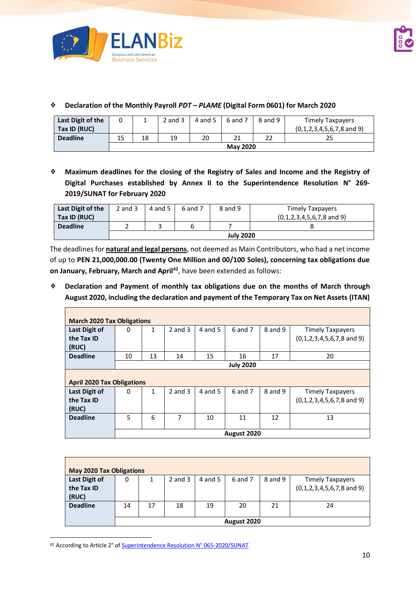

 $\blacksquare$ 

| Last Digit of the |                 |    | $2$ and $3$ | 4 and 5 | $6$ and $7$ | 8 and 9 | <b>Timely Taxpayers</b>              |  |  |  |  |
|-------------------|-----------------|----|-------------|---------|-------------|---------|--------------------------------------|--|--|--|--|
| Tax ID (RUC)      |                 |    |             |         |             |         | $(0,1,2,3,4,5,6,7,8 \text{ and } 9)$ |  |  |  |  |
| <b>Deadline</b>   | 15              | 18 | 19          | 20      | <b>CC</b>   |         | 25                                   |  |  |  |  |
|                   | <b>May 2020</b> |    |             |         |             |         |                                      |  |  |  |  |

#### ❖ **Declaration of the Monthly Payroll** *PDT – PLAME* **(Digital Form 0601) for March 2020**

❖ **Maximum deadlines for the closing of the Registry of Sales and Income and the Registry of Digital Purchases established by Annex II to the Superintendence Resolution N° 269- 2019/SUNAT for February 2020**

| Last Digit of the | $2$ and $3$      | 4 and 5 $\parallel$ | 6 and 7 | 8 and 9 | Timely Taxpayers                     |  |  |  |  |  |
|-------------------|------------------|---------------------|---------|---------|--------------------------------------|--|--|--|--|--|
| Tax ID (RUC)      |                  |                     |         |         | $(0,1,2,3,4,5,6,7,8 \text{ and } 9)$ |  |  |  |  |  |
| <b>Deadline</b>   |                  |                     |         |         |                                      |  |  |  |  |  |
|                   | <b>July 2020</b> |                     |         |         |                                      |  |  |  |  |  |

The deadlines for **natural and legal persons**, not deemed as Main Contributors, who had a net income of up to **PEN 21,000,000.00 (Twenty One Million and 00/100 Soles), concerning tax obligations due on January, February, March and April<sup>42</sup>** , have been extended as follows:

❖ **Declaration and Payment of monthly tax obligations due on the months of March through August 2020, including the declaration and payment of the Temporary Tax on Net Assets (ITAN)**

|                                   | <b>March 2020 Tax Obligations</b> |                  |             |         |             |         |                                      |  |  |  |  |  |  |
|-----------------------------------|-----------------------------------|------------------|-------------|---------|-------------|---------|--------------------------------------|--|--|--|--|--|--|
| Last Digit of                     | 0                                 | 1                | $2$ and $3$ | 4 and 5 | 6 and 7     | 8 and 9 | <b>Timely Taxpayers</b>              |  |  |  |  |  |  |
| the Tax ID                        |                                   |                  |             |         |             |         | $(0,1,2,3,4,5,6,7,8 \text{ and } 9)$ |  |  |  |  |  |  |
| (RUC)                             |                                   |                  |             |         |             |         |                                      |  |  |  |  |  |  |
| <b>Deadline</b>                   | 10                                | 13               | 14          | 15      | 16          | 17      | 20                                   |  |  |  |  |  |  |
|                                   |                                   | <b>July 2020</b> |             |         |             |         |                                      |  |  |  |  |  |  |
|                                   |                                   |                  |             |         |             |         |                                      |  |  |  |  |  |  |
| <b>April 2020 Tax Obligations</b> |                                   |                  |             |         |             |         |                                      |  |  |  |  |  |  |
| Last Digit of                     | 0                                 | 1                | $2$ and $3$ | 4 and 5 | $6$ and $7$ | 8 and 9 | <b>Timely Taxpayers</b>              |  |  |  |  |  |  |
| the Tax ID                        |                                   |                  |             |         |             |         | $(0,1,2,3,4,5,6,7,8 \text{ and } 9)$ |  |  |  |  |  |  |
| (RUC)                             |                                   |                  |             |         |             |         |                                      |  |  |  |  |  |  |
| <b>Deadline</b>                   | 5                                 | 6                | 7           | 10      | 11          | 12      | 13                                   |  |  |  |  |  |  |
|                                   |                                   |                  |             |         |             |         |                                      |  |  |  |  |  |  |
|                                   |                                   |                  |             |         | August 2020 |         |                                      |  |  |  |  |  |  |

| <b>May 2020 Tax Obligations</b>      |    |    |             |         |                   |         |                                                                 |  |  |
|--------------------------------------|----|----|-------------|---------|-------------------|---------|-----------------------------------------------------------------|--|--|
| Last Digit of<br>the Tax ID<br>(RUC) | 0  |    | $2$ and $3$ | 4 and 5 | 6 and 7           | 8 and 9 | <b>Timely Taxpayers</b><br>$(0,1,2,3,4,5,6,7,8 \text{ and } 9)$ |  |  |
| <b>Deadline</b>                      | 14 | 17 | 18          | 19      | 20<br>August 2020 | 21      | 24                                                              |  |  |

<sup>42</sup> According to Article 2° o[f Superintendence Resolution N° 065-2020/SUNAT](https://cdn.www.gob.pe/uploads/document/file/574424/RS_065-2020.pdf)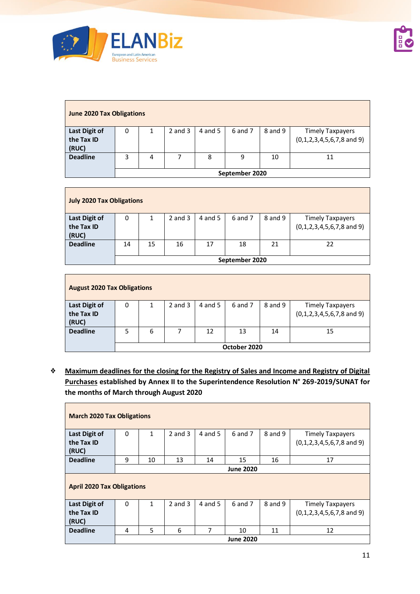

| <b>June 2020 Tax Obligations</b>     |                |   |             |         |         |         |                                                                 |  |  |  |  |
|--------------------------------------|----------------|---|-------------|---------|---------|---------|-----------------------------------------------------------------|--|--|--|--|
| Last Digit of<br>the Tax ID<br>(RUC) | 0              |   | $2$ and $3$ | 4 and 5 | 6 and 7 | 8 and 9 | <b>Timely Taxpayers</b><br>$(0,1,2,3,4,5,6,7,8 \text{ and } 9)$ |  |  |  |  |
| <b>Deadline</b>                      | 3              | 4 |             | 8       | 9       | 10      | 11                                                              |  |  |  |  |
|                                      | September 2020 |   |             |         |         |         |                                                                 |  |  |  |  |

| <b>July 2020 Tax Obligations</b> |                |    |             |         |         |         |                                      |  |  |  |  |
|----------------------------------|----------------|----|-------------|---------|---------|---------|--------------------------------------|--|--|--|--|
| Last Digit of                    | 0              |    | $2$ and $3$ | 4 and 5 | 6 and 7 | 8 and 9 | <b>Timely Taxpayers</b>              |  |  |  |  |
| the Tax ID                       |                |    |             |         |         |         | $(0,1,2,3,4,5,6,7,8 \text{ and } 9)$ |  |  |  |  |
| (RUC)                            |                |    |             |         |         |         |                                      |  |  |  |  |
| <b>Deadline</b>                  | 14             | 15 | 16          | 17      | 18      | 21      | 22                                   |  |  |  |  |
|                                  | September 2020 |    |             |         |         |         |                                      |  |  |  |  |

| <b>August 2020 Tax Obligations</b> |   |   |             |         |              |         |                                                                 |  |  |  |
|------------------------------------|---|---|-------------|---------|--------------|---------|-----------------------------------------------------------------|--|--|--|
| Last Digit of<br>the Tax ID        | 0 |   | $2$ and $3$ | 4 and 5 | 6 and 7      | 8 and 9 | <b>Timely Taxpayers</b><br>$(0,1,2,3,4,5,6,7,8 \text{ and } 9)$ |  |  |  |
| (RUC)<br><b>Deadline</b>           |   | 6 |             | 12      | 13           | 14      | 15                                                              |  |  |  |
|                                    |   |   |             |         | October 2020 |         |                                                                 |  |  |  |
|                                    |   |   |             |         |              |         |                                                                 |  |  |  |

❖ **Maximum deadlines for the closing for the Registry of Sales and Income and Registry of Digital Purchases established by Annex II to the Superintendence Resolution N° 269-2019/SUNAT for the months of March through August 2020**

| <b>March 2020 Tax Obligations</b> |                                   |                  |             |           |         |         |                                      |  |  |  |  |  |
|-----------------------------------|-----------------------------------|------------------|-------------|-----------|---------|---------|--------------------------------------|--|--|--|--|--|
| Last Digit of                     | 0                                 | $\mathbf{1}$     | $2$ and $3$ | $4$ and 5 | 6 and 7 | 8 and 9 | <b>Timely Taxpayers</b>              |  |  |  |  |  |
| the Tax ID                        |                                   |                  |             |           |         |         | $(0,1,2,3,4,5,6,7,8 \text{ and } 9)$ |  |  |  |  |  |
| (RUC)                             |                                   |                  |             |           |         |         |                                      |  |  |  |  |  |
| <b>Deadline</b>                   | 9                                 | 10               | 13          | 14        | 15      | 16      | 17                                   |  |  |  |  |  |
|                                   |                                   | <b>June 2020</b> |             |           |         |         |                                      |  |  |  |  |  |
|                                   | <b>April 2020 Tax Obligations</b> |                  |             |           |         |         |                                      |  |  |  |  |  |
| Last Digit of                     | 0                                 | $\mathbf{1}$     | $2$ and $3$ | 4 and 5   | 6 and 7 | 8 and 9 | <b>Timely Taxpayers</b>              |  |  |  |  |  |
| the Tax ID                        |                                   |                  |             |           |         |         | $(0,1,2,3,4,5,6,7,8 \text{ and } 9)$ |  |  |  |  |  |
| (RUC)                             |                                   |                  |             |           |         |         |                                      |  |  |  |  |  |
| <b>Deadline</b>                   | 4                                 | 5                | 6           | 7         | 10      | 11      | 12                                   |  |  |  |  |  |
|                                   |                                   |                  |             |           |         |         |                                      |  |  |  |  |  |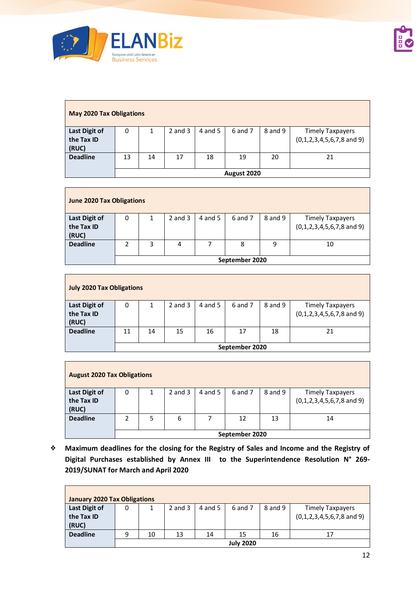

| <b>May 2020 Tax Obligations</b> |             |    |             |         |         |         |                                                                 |  |  |  |  |
|---------------------------------|-------------|----|-------------|---------|---------|---------|-----------------------------------------------------------------|--|--|--|--|
| Last Digit of<br>the Tax ID     | 0           |    | $2$ and $3$ | 4 and 5 | 6 and 7 | 8 and 9 | <b>Timely Taxpayers</b><br>$(0,1,2,3,4,5,6,7,8 \text{ and } 9)$ |  |  |  |  |
| (RUC)                           |             |    |             |         |         |         |                                                                 |  |  |  |  |
| <b>Deadline</b>                 | 13          | 14 | 17          | 18      | 19      | 20      | 21                                                              |  |  |  |  |
|                                 | August 2020 |    |             |         |         |         |                                                                 |  |  |  |  |

| <b>June 2020 Tax Obligations</b> |                |   |             |         |         |         |                                      |  |  |  |  |
|----------------------------------|----------------|---|-------------|---------|---------|---------|--------------------------------------|--|--|--|--|
| Last Digit of                    | 0              |   | $2$ and $3$ | 4 and 5 | 6 and 7 | 8 and 9 | <b>Timely Taxpayers</b>              |  |  |  |  |
| the Tax ID                       |                |   |             |         |         |         | $(0,1,2,3,4,5,6,7,8 \text{ and } 9)$ |  |  |  |  |
| (RUC)                            |                |   |             |         |         |         |                                      |  |  |  |  |
| <b>Deadline</b>                  |                | 3 | 4           |         | 8       | 9       | 10                                   |  |  |  |  |
|                                  |                |   |             |         |         |         |                                      |  |  |  |  |
|                                  | September 2020 |   |             |         |         |         |                                      |  |  |  |  |

| <b>July 2020 Tax Obligations</b>     |                |    |             |         |         |         |                                                                 |  |  |  |  |
|--------------------------------------|----------------|----|-------------|---------|---------|---------|-----------------------------------------------------------------|--|--|--|--|
| Last Digit of<br>the Tax ID<br>(RUC) | 0              |    | $2$ and $3$ | 4 and 5 | 6 and 7 | 8 and 9 | <b>Timely Taxpayers</b><br>$(0,1,2,3,4,5,6,7,8 \text{ and } 9)$ |  |  |  |  |
| <b>Deadline</b>                      | 11             | 14 | 15          | 16      | 17      | 18      | 21                                                              |  |  |  |  |
|                                      | September 2020 |    |             |         |         |         |                                                                 |  |  |  |  |

| <b>August 2020 Tax Obligations</b> |                |   |             |         |         |         |                                      |  |  |  |  |
|------------------------------------|----------------|---|-------------|---------|---------|---------|--------------------------------------|--|--|--|--|
| Last Digit of                      | 0              | 1 | $2$ and $3$ | 4 and 5 | 6 and 7 | 8 and 9 | Timely Taxpayers                     |  |  |  |  |
| the Tax ID                         |                |   |             |         |         |         | $(0,1,2,3,4,5,6,7,8 \text{ and } 9)$ |  |  |  |  |
| (RUC)                              |                |   |             |         |         |         |                                      |  |  |  |  |
| <b>Deadline</b>                    | 2              | 5 | 6           |         | 12      | 13      | 14                                   |  |  |  |  |
|                                    |                |   |             |         |         |         |                                      |  |  |  |  |
|                                    | September 2020 |   |             |         |         |         |                                      |  |  |  |  |

❖ **Maximum deadlines for the closing for the Registry of Sales and Income and the Registry of Digital Purchases established by Annex III to the Superintendence Resolution N° 269- 2019/SUNAT for March and April 2020**

| <b>January 2020 Tax Obligations</b> |   |                  |             |         |         |         |                                      |  |  |  |  |
|-------------------------------------|---|------------------|-------------|---------|---------|---------|--------------------------------------|--|--|--|--|
| Last Digit of                       | 0 |                  | $2$ and $3$ | 4 and 5 | 6 and 7 | 8 and 9 | <b>Timely Taxpayers</b>              |  |  |  |  |
| the Tax ID                          |   |                  |             |         |         |         | $(0,1,2,3,4,5,6,7,8 \text{ and } 9)$ |  |  |  |  |
| (RUC)                               |   |                  |             |         |         |         |                                      |  |  |  |  |
| <b>Deadline</b>                     | 9 | 10               | 13          | 14      | 15      | 16      | 17                                   |  |  |  |  |
|                                     |   | <b>July 2020</b> |             |         |         |         |                                      |  |  |  |  |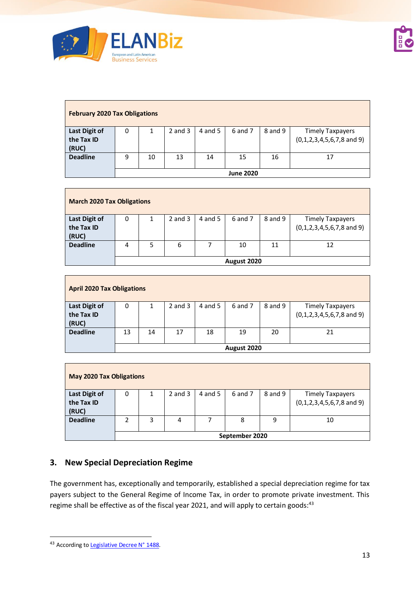

| <b>February 2020 Tax Obligations</b> |   |    |             |         |                  |         |                                      |  |  |  |
|--------------------------------------|---|----|-------------|---------|------------------|---------|--------------------------------------|--|--|--|
| Last Digit of                        | 0 |    | $2$ and $3$ | 4 and 5 | 6 and 7          | 8 and 9 | <b>Timely Taxpayers</b>              |  |  |  |
| the Tax ID<br>(RUC)                  |   |    |             |         |                  |         | $(0,1,2,3,4,5,6,7,8 \text{ and } 9)$ |  |  |  |
| <b>Deadline</b>                      | 9 | 10 | 13          | 14      | 15               | 16      | 17                                   |  |  |  |
|                                      |   |    |             |         | <b>June 2020</b> |         |                                      |  |  |  |

| <b>March 2020 Tax Obligations</b> |             |   |             |         |         |         |                                                                 |  |  |  |  |
|-----------------------------------|-------------|---|-------------|---------|---------|---------|-----------------------------------------------------------------|--|--|--|--|
| Last Digit of<br>the Tax ID       | 0           |   | $2$ and $3$ | 4 and 5 | 6 and 7 | 8 and 9 | <b>Timely Taxpayers</b><br>$(0,1,2,3,4,5,6,7,8 \text{ and } 9)$ |  |  |  |  |
| (RUC)                             |             |   |             |         |         |         |                                                                 |  |  |  |  |
| <b>Deadline</b>                   | 4           | 5 | 6           |         | 10      | 11      | 12                                                              |  |  |  |  |
|                                   |             |   |             |         |         |         |                                                                 |  |  |  |  |
|                                   | August 2020 |   |             |         |         |         |                                                                 |  |  |  |  |

| <b>April 2020 Tax Obligations</b>    |             |    |             |         |         |         |                                                                 |
|--------------------------------------|-------------|----|-------------|---------|---------|---------|-----------------------------------------------------------------|
| Last Digit of<br>the Tax ID<br>(RUC) | 0           |    | $2$ and $3$ | 4 and 5 | 6 and 7 | 8 and 9 | <b>Timely Taxpayers</b><br>$(0,1,2,3,4,5,6,7,8 \text{ and } 9)$ |
| <b>Deadline</b>                      | 13          | 14 | 17          | 18      | 19      | 20      | 21                                                              |
|                                      | August 2020 |    |             |         |         |         |                                                                 |

| <b>May 2020 Tax Obligations</b> |                |   |             |         |         |         |                                                                 |
|---------------------------------|----------------|---|-------------|---------|---------|---------|-----------------------------------------------------------------|
| Last Digit of<br>the Tax ID     | 0              | 1 | $2$ and $3$ | 4 and 5 | 6 and 7 | 8 and 9 | <b>Timely Taxpayers</b><br>$(0,1,2,3,4,5,6,7,8 \text{ and } 9)$ |
| (RUC)<br><b>Deadline</b>        | 2              | 3 | 4           | ┑       | 8       | 9       | 10                                                              |
|                                 | September 2020 |   |             |         |         |         |                                                                 |

## **3. New Special Depreciation Regime**

The government has, exceptionally and temporarily, established a special depreciation regime for tax payers subject to the General Regime of Income Tax, in order to promote private investment. This regime shall be effective as of the fiscal year 2021, and will apply to certain goods:<sup>43</sup>

<sup>43</sup> According t[o Legislative Decree](https://busquedas.elperuano.pe/normaslegales/decreto-legislativo-que-establece-un-regimen-especial-de-dep-decreto-legislativo-n-1488-1866210-6/) N° 1488.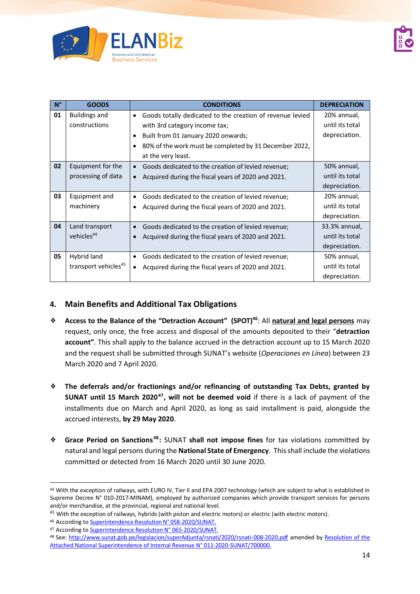

| $N^{\circ}$ | <b>GOODS</b>                     | <b>CONDITIONS</b>                                               | <b>DEPRECIATION</b> |
|-------------|----------------------------------|-----------------------------------------------------------------|---------------------|
| 01          | <b>Buildings and</b>             | Goods totally dedicated to the creation of revenue levied<br>٠  | 20% annual,         |
|             | constructions                    | with 3rd category income tax;                                   | until its total     |
|             |                                  | Built from 01 January 2020 onwards;                             | depreciation.       |
|             |                                  | 80% of the work must be completed by 31 December 2022,          |                     |
|             |                                  | at the very least.                                              |                     |
| 02          | Equipment for the                | Goods dedicated to the creation of levied revenue;              | 50% annual,         |
|             | processing of data               | Acquired during the fiscal years of 2020 and 2021.              | until its total     |
|             |                                  |                                                                 | depreciation.       |
| 03          | Equipment and                    | Goods dedicated to the creation of levied revenue;<br>$\bullet$ | 20% annual,         |
|             | machinery                        | Acquired during the fiscal years of 2020 and 2021.              | until its total     |
|             |                                  |                                                                 | depreciation.       |
| 04          | Land transport                   | Goods dedicated to the creation of levied revenue;              | 33.3% annual,       |
|             | vehicles <sup>44</sup>           | Acquired during the fiscal years of 2020 and 2021.              | until its total     |
|             |                                  |                                                                 | depreciation.       |
| 05          | Hybrid land                      | Goods dedicated to the creation of levied revenue;              | 50% annual,         |
|             | transport vehicles <sup>45</sup> | Acquired during the fiscal years of 2020 and 2021.              | until its total     |
|             |                                  |                                                                 | depreciation.       |

### **4. Main Benefits and Additional Tax Obligations**

- ❖ **Access to the Balance of the "Detraction Account" (SPOT)<sup>46</sup>**: All **natural and legal persons** may request, only once, the free access and disposal of the amounts deposited to their "**detraction account"**. This shall apply to the balance accrued in the detraction account up to 15 March 2020 and the request shall be submitted through SUNAT's website (*Operaciones en Línea*) between 23 March 2020 and 7 April 2020.
- ❖ **The deferrals and/or fractionings and/or refinancing of outstanding Tax Debts, granted by SUNAT until 15 March 2020<sup>47</sup> , will not be deemed void** if there is a lack of payment of the installments due on March and April 2020, as long as said installment is paid, alongside the accrued interests, **by 29 May 2020**.
- ❖ **Grace Period on Sanctions<sup>48</sup>:** SUNAT **shall not impose fines** for tax violations committed by natural and legal persons during the **National State of Emergency**. This shall include the violations committed or detected from 16 March 2020 until 30 June 2020.

<sup>44</sup> With the exception of railways, with EURO IV, Tier II and EPA 2007 technology (which are subject to what is established in Supreme Decree N° 010-2017-MINAM), employed by authorized companies which provide transport services for persons and/or merchandise, at the provincial, regional and national level.

<sup>&</sup>lt;sup>45</sup> With the exception of railways, hybrids (with piston and electric motors) or electric (with electric motors).

<sup>46</sup> According to Superintendence Resolution N° 058-2020/SUNAT.

<sup>47</sup> According t[o Superintendence Resolution N° 065-2020/SUNAT.](https://cdn.www.gob.pe/uploads/document/file/574424/RS_065-2020.pdf)

<sup>48</sup> See:<http://www.sunat.gob.pe/legislacion/superAdjunta/rsnati/2020/rsnati-008-2020.pdf> amended by Resolution of the [Attached National Superintendence of Internal Revenue](https://busquedas.elperuano.pe/normaslegales/modifican-la-facultad-discrecional-en-la-administracion-de-s-resolucion-n-011-2020-sunat700000-1869308-1/) N° 011-2020-SUNAT/700000.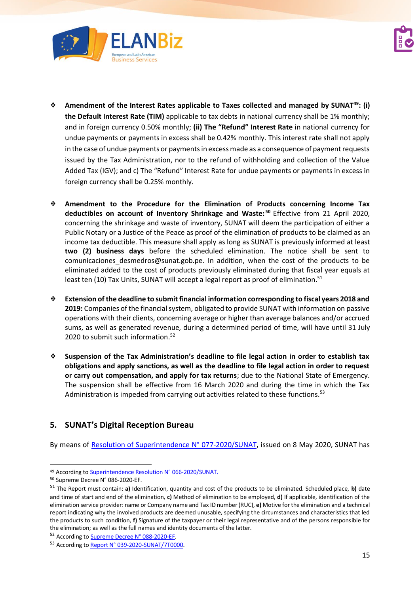



- ❖ **Amendment of the Interest Rates applicable to Taxes collected and managed by SUNAT<sup>49</sup>: (i) the Default Interest Rate (TIM)** applicable to tax debts in national currency shall be 1% monthly; and in foreign currency 0.50% monthly; **(ii) The "Refund" Interest Rate** in national currency for undue payments or payments in excess shall be 0.42% monthly. This interest rate shall not apply in the case of undue payments or payments in excess made as a consequence of payment requests issued by the Tax Administration, nor to the refund of withholding and collection of the Value Added Tax (IGV); and c) The "Refund" Interest Rate for undue payments or payments in excess in foreign currency shall be 0.25% monthly.
- ❖ **Amendment to the Procedure for the Elimination of Products concerning Income Tax deductibles on account of Inventory Shrinkage and Waste: <sup>50</sup>** Effective from 21 April 2020, concerning the shrinkage and waste of inventory, SUNAT will deem the participation of either a Public Notary or a Justice of the Peace as proof of the elimination of products to be claimed as an income tax deductible. This measure shall apply as long as SUNAT is previously informed at least **two (2) business days** before the scheduled elimination. The notice shall be sent to comunicaciones desmedros@sunat.gob.pe. In addition, when the cost of the products to be eliminated added to the cost of products previously eliminated during that fiscal year equals at least ten (10) Tax Units, SUNAT will accept a legal report as proof of elimination.<sup>51</sup>
- ❖ **Extension of the deadline to submit financial information corresponding to fiscal years 2018 and 2019:** Companies of the financial system, obligated to provide SUNAT with information on passive operations with their clients, concerning average or higher than average balances and/or accrued sums, as well as generated revenue, during a determined period of time, will have until 31 July 2020 to submit such information. 52
- ❖ **Suspension of the Tax Administration's deadline to file legal action in order to establish tax obligations and apply sanctions, as well as the deadline to file legal action in order to request or carry out compensation, and apply for tax returns**; due to the National State of Emergency. The suspension shall be effective from 16 March 2020 and during the time in which the Tax Administration is impeded from carrying out activities related to these functions.<sup>53</sup>

## **5. SUNAT's Digital Reception Bureau**

By means of [Resolution of Superintendence N°](https://busquedas.elperuano.pe/normaslegales/aprueban-la-creacion-de-la-mesa-de-partes-virtual-de-la-supe-resolucion-n-077-2020sunat-1866195-1/) 077-2020/SUNAT, issued on 8 May 2020, SUNAT has

<sup>49</sup> According t[o Superintendence Resolution N° 066-2020/SUNAT.](https://busquedas.elperuano.pe/download/url/modifican-las-tasas-de-interes-aplicables-a-los-tributos-adm-resolucion-n-066-2020sunat-1865256-1)

<sup>50</sup> Supreme Decree N° 086-2020-EF.

<sup>51</sup> The Report must contain: **a)** Identification, quantity and cost of the products to be eliminated. Scheduled place, **b)** date and time of start and end of the elimination, **c)** Method of elimination to be employed, **d)** If applicable, identification of the elimination service provider: name or Company name and Tax ID number (RUC), **e)** Motive for the elimination and a technical report indicating why the involved products are deemed unusable, specifying the circumstances and characteristics that led the products to such condition, **f)** Signature of the taxpayer or their legal representative and of the persons responsible for the elimination; as well as the full names and identity documents of the latter.

<sup>52</sup> According t[o Supreme Decree](https://busquedas.elperuano.pe/normaslegales/amplian-el-plazo-para-la-presentacion-de-la-informacion-fina-decreto-supremo-n-088-2020-ef-1865700-4/) N° 088-2020-EF.

<sup>53</sup> According to Report [N° 039-2020-SUNAT/7T0000](http://www.sunat.gob.pe/legislacion/oficios/2020/informe-oficios/i039-2020-7T0000.pdf).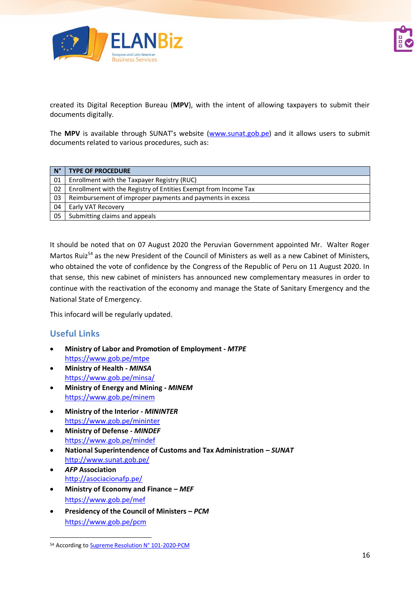

created its Digital Reception Bureau (**MPV**), with the intent of allowing taxpayers to submit their documents digitally.

The MPV is available through SUNAT's website [\(www.sunat.gob.pe\)](http://www.sunat.gob.pe/) and it allows users to submit documents related to various procedures, such as:

| $N^{\circ}$ | <b>TYPE OF PROCEDURE</b>                                        |
|-------------|-----------------------------------------------------------------|
| 01          | Enrollment with the Taxpayer Registry (RUC)                     |
| 02          | Enrollment with the Registry of Entities Exempt from Income Tax |
| 03          | Reimbursement of improper payments and payments in excess       |
| 04          | Early VAT Recovery                                              |
| 05          | Submitting claims and appeals                                   |

It should be noted that on 07 August 2020 the Peruvian Government appointed Mr. Walter Roger Martos Ruiz<sup>54</sup> as the new President of the Council of Ministers as well as a new Cabinet of Ministers, who obtained the vote of confidence by the Congress of the Republic of Peru on 11 August 2020. In that sense, this new cabinet of ministers has announced new complementary measures in order to continue with the reactivation of the economy and manage the State of Sanitary Emergency and the National State of Emergency.

This infocard will be regularly updated.

## **Useful Links**

- **Ministry of Labor and Promotion of Employment -** *MTPE* <https://www.gob.pe/mtpe>
- **Ministry of Health -** *MINSA* <https://www.gob.pe/minsa/>
- **Ministry of Energy and Mining -** *MINEM* <https://www.gob.pe/minem>
- **Ministry of the Interior -** *MININTER* <https://www.gob.pe/mininter>
- **Ministry of Defense -** *MINDEF* <https://www.gob.pe/mindef>
- **National Superintendence of Customs and Tax Administration –** *SUNAT* <http://www.sunat.gob.pe/>
- *AFP* **Association** <http://asociacionafp.pe/>
- **Ministry of Economy and Finance –** *MEF* <https://www.gob.pe/mef>
- **Presidency of the Council of Ministers –** *PCM* <https://www.gob.pe/pcm>

<sup>54</sup> According t[o Supreme Resolution N° 101-2020-PCM](https://cdn.www.gob.pe/uploads/document/file/1225314/RS_N%C2%BA_101-2020-PCM.pdf)